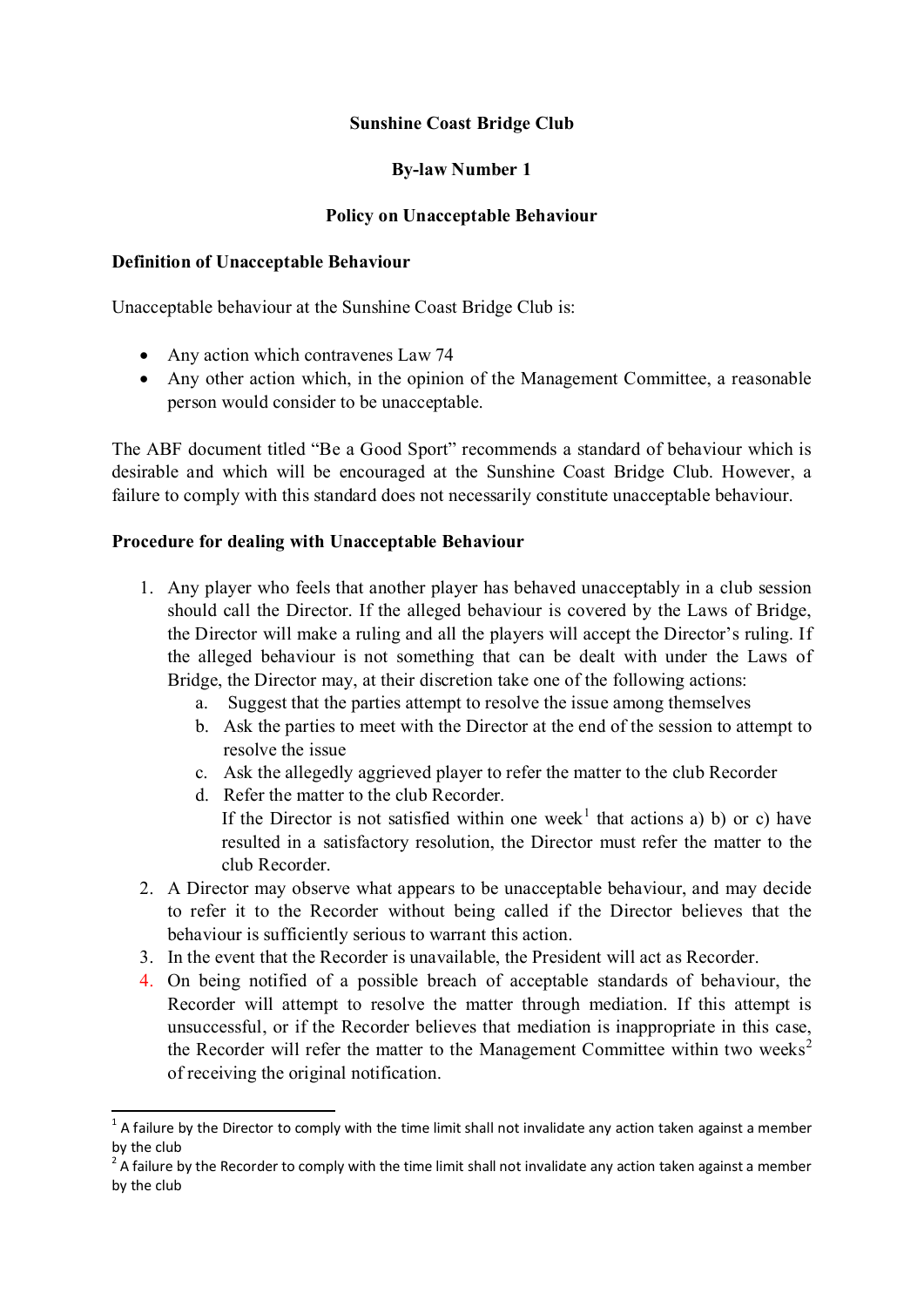# **Sunshine Coast Bridge Club**

# **By-law Number 1**

## **Policy on Unacceptable Behaviour**

#### **Definition of Unacceptable Behaviour**

Unacceptable behaviour at the Sunshine Coast Bridge Club is:

- Any action which contravenes Law 74
- Any other action which, in the opinion of the Management Committee, a reasonable person would consider to be unacceptable.

The ABF document titled "Be a Good Sport" recommends a standard of behaviour which is desirable and which will be encouraged at the Sunshine Coast Bridge Club. However, a failure to comply with this standard does not necessarily constitute unacceptable behaviour.

#### **Procedure for dealing with Unacceptable Behaviour**

- 1. Any player who feels that another player has behaved unacceptably in a club session should call the Director. If the alleged behaviour is covered by the Laws of Bridge, the Director will make a ruling and all the players will accept the Director's ruling. If the alleged behaviour is not something that can be dealt with under the Laws of Bridge, the Director may, at their discretion take one of the following actions:
	- a. Suggest that the parties attempt to resolve the issue among themselves
	- b. Ask the parties to meet with the Director at the end of the session to attempt to resolve the issue
	- c. Ask the allegedly aggrieved player to refer the matter to the club Recorder
	- d. Refer the matter to the club Recorder. If the Director is not satisfied within one week<sup>1</sup> that actions a) b) or c) have resulted in a satisfactory resolution, the Director must refer the matter to the club Recorder.
- 2. A Director may observe what appears to be unacceptable behaviour, and may decide to refer it to the Recorder without being called if the Director believes that the behaviour is sufficiently serious to warrant this action.
- 3. In the event that the Recorder is unavailable, the President will act as Recorder.
- 4. On being notified of a possible breach of acceptable standards of behaviour, the Recorder will attempt to resolve the matter through mediation. If this attempt is unsuccessful, or if the Recorder believes that mediation is inappropriate in this case, the Recorder will refer the matter to the Management Committee within two weeks<sup>2</sup> of receiving the original notification.

 $1$  A failure by the Director to comply with the time limit shall not invalidate any action taken against a member by the club

 $2$  A failure by the Recorder to comply with the time limit shall not invalidate any action taken against a member by the club